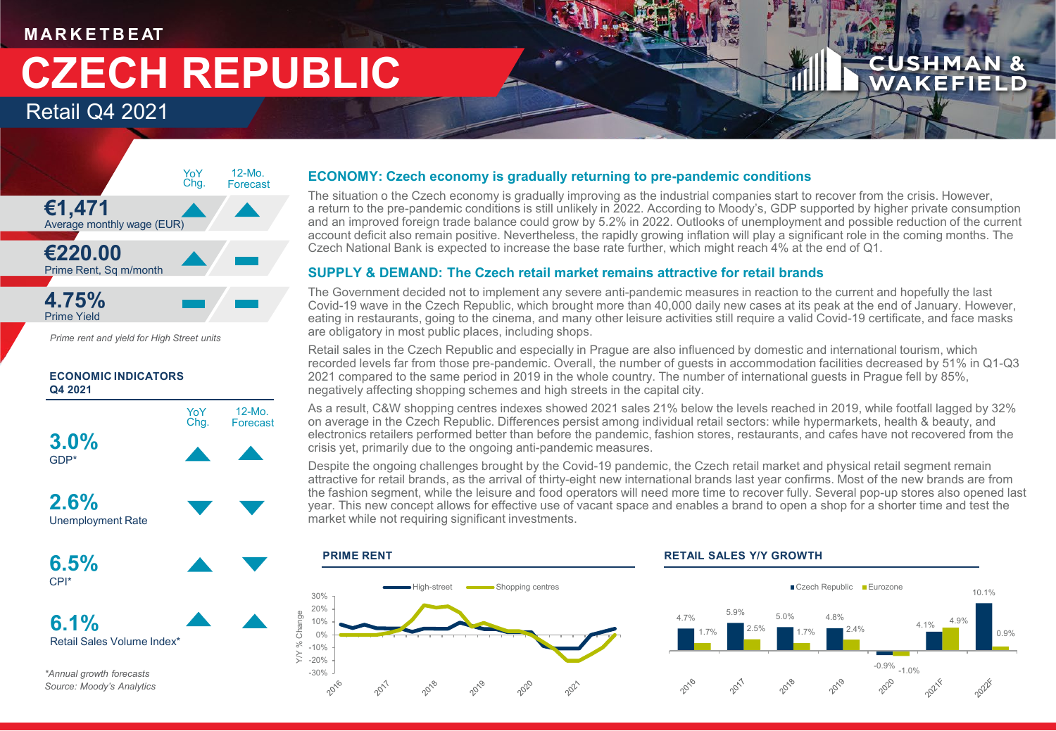### **M AR K E T B E AT**

# **CZECH REPUBLIC**

Retail Q4 2021



*Prime rent and yield for High Street units*

### **ECONOMIC INDICATORS Q4 2021**



*\*Annual growth forecasts Source: Moody's Analytics*

### **ECONOMY: Czech economy is gradually returning to pre-pandemic conditions**

The situation o the Czech economy is gradually improving as the industrial companies start to recover from the crisis. However, a return to the pre-pandemic conditions is still unlikely in 2022. According to Moody's, GDP supported by higher private consumption and an improved foreign trade balance could grow by 5.2% in 2022. Outlooks of unemployment and possible reduction of the current account deficit also remain positive. Nevertheless, the rapidly growing inflation will play a significant role in the coming months. The Czech National Bank is expected to increase the base rate further, which might reach 4% at the end of Q1.

**CUSHMAN & WAKEFIELD** 

### **SUPPLY & DEMAND: The Czech retail market remains attractive for retail brands**

The Government decided not to implement any severe anti-pandemic measures in reaction to the current and hopefully the last Covid-19 wave in the Czech Republic, which brought more than 40,000 daily new cases at its peak at the end of January. However, eating in restaurants, going to the cinema, and many other leisure activities still require a valid Covid-19 certificate, and face masks are obligatory in most public places, including shops.

Retail sales in the Czech Republic and especially in Prague are also influenced by domestic and international tourism, which recorded levels far from those pre-pandemic. Overall, the number of guests in accommodation facilities decreased by 51% in Q1-Q3 2021 compared to the same period in 2019 in the whole country. The number of international guests in Prague fell by 85%, negatively affecting shopping schemes and high streets in the capital city.

As a result, C&W shopping centres indexes showed 2021 sales 21% below the levels reached in 2019, while footfall lagged by 32% on average in the Czech Republic. Differences persist among individual retail sectors: while hypermarkets, health & beauty, and electronics retailers performed better than before the pandemic, fashion stores, restaurants, and cafes have not recovered from the crisis yet, primarily due to the ongoing anti-pandemic measures.

Despite the ongoing challenges brought by the Covid-19 pandemic, the Czech retail market and physical retail segment remain attractive for retail brands, as the arrival of thirty-eight new international brands last year confirms. Most of the new brands are from the fashion segment, while the leisure and food operators will need more time to recover fully. Several pop-up stores also opened last year. This new concept allows for effective use of vacant space and enables a brand to open a shop for a shorter time and test the market while not requiring significant investments.